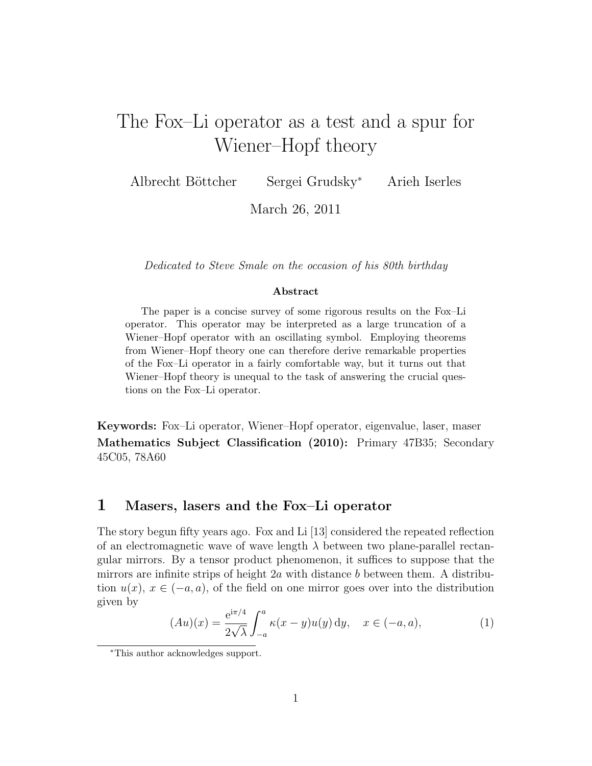# The Fox–Li operator as a test and a spur for Wiener–Hopf theory

Albrecht B¨ottcher Sergei Grudsky<sup>∗</sup> Arieh Iserles

March 26, 2011

Dedicated to Steve Smale on the occasion of his 80th birthday

#### Abstract

The paper is a concise survey of some rigorous results on the Fox–Li operator. This operator may be interpreted as a large truncation of a Wiener–Hopf operator with an oscillating symbol. Employing theorems from Wiener–Hopf theory one can therefore derive remarkable properties of the Fox–Li operator in a fairly comfortable way, but it turns out that Wiener–Hopf theory is unequal to the task of answering the crucial questions on the Fox–Li operator.

Keywords: Fox–Li operator, Wiener–Hopf operator, eigenvalue, laser, maser Mathematics Subject Classification (2010): Primary 47B35; Secondary 45C05, 78A60

## 1 Masers, lasers and the Fox–Li operator

The story begun fifty years ago. Fox and Li [13] considered the repeated reflection of an electromagnetic wave of wave length  $\lambda$  between two plane-parallel rectangular mirrors. By a tensor product phenomenon, it suffices to suppose that the mirrors are infinite strips of height  $2a$  with distance b between them. A distribution  $u(x)$ ,  $x \in (-a, a)$ , of the field on one mirror goes over into the distribution given by

$$
(Au)(x) = \frac{e^{i\pi/4}}{2\sqrt{\lambda}} \int_{-a}^{a} \kappa(x - y) u(y) \, dy, \quad x \in (-a, a), \tag{1}
$$

<sup>∗</sup>This author acknowledges support.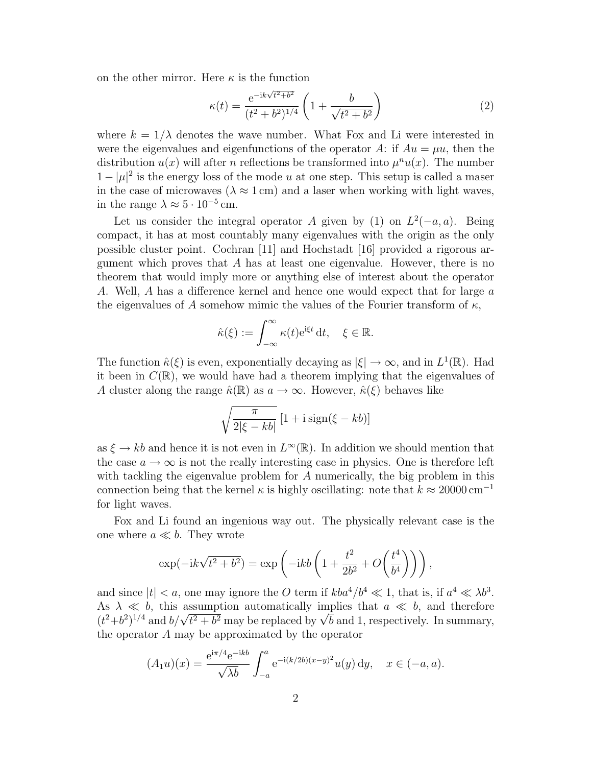on the other mirror. Here  $\kappa$  is the function

$$
\kappa(t) = \frac{e^{-ik\sqrt{t^2 + b^2}}}{(t^2 + b^2)^{1/4}} \left(1 + \frac{b}{\sqrt{t^2 + b^2}}\right)
$$
(2)

where  $k = 1/\lambda$  denotes the wave number. What Fox and Li were interested in were the eigenvalues and eigenfunctions of the operator A: if  $Au = \mu u$ , then the distribution  $u(x)$  will after *n* reflections be transformed into  $\mu^n u(x)$ . The number  $1 - |\mu|^2$  is the energy loss of the mode u at one step. This setup is called a maser in the case of microwaves ( $\lambda \approx 1$  cm) and a laser when working with light waves, in the range  $\lambda \approx 5 \cdot 10^{-5}$  cm.

Let us consider the integral operator A given by (1) on  $L^2(-a, a)$ . Being compact, it has at most countably many eigenvalues with the origin as the only possible cluster point. Cochran [11] and Hochstadt [16] provided a rigorous argument which proves that  $A$  has at least one eigenvalue. However, there is no theorem that would imply more or anything else of interest about the operator A. Well, A has a difference kernel and hence one would expect that for large a the eigenvalues of A somehow mimic the values of the Fourier transform of  $\kappa$ ,

$$
\hat{\kappa}(\xi) := \int_{-\infty}^{\infty} \kappa(t) e^{i\xi t} dt, \quad \xi \in \mathbb{R}.
$$

The function  $\hat{\kappa}(\xi)$  is even, exponentially decaying as  $|\xi| \to \infty$ , and in  $L^1(\mathbb{R})$ . Had it been in  $C(\mathbb{R})$ , we would have had a theorem implying that the eigenvalues of A cluster along the range  $\hat{\kappa}(\mathbb{R})$  as  $a \to \infty$ . However,  $\hat{\kappa}(\xi)$  behaves like

$$
\sqrt{\frac{\pi}{2|\xi - kb|}} \left[1 + i \operatorname{sign}(\xi - kb)\right]
$$

as  $\xi \to kb$  and hence it is not even in  $L^{\infty}(\mathbb{R})$ . In addition we should mention that the case  $a \to \infty$  is not the really interesting case in physics. One is therefore left with tackling the eigenvalue problem for A numerically, the big problem in this connection being that the kernel  $\kappa$  is highly oscillating: note that  $k \approx 20000 \text{ cm}^{-1}$ for light waves.

Fox and Li found an ingenious way out. The physically relevant case is the one where  $a \ll b$ . They wrote

$$
\exp(-ik\sqrt{t^2+b^2}) = \exp\left(-ikb\left(1+\frac{t^2}{2b^2}+O\left(\frac{t^4}{b^4}\right)\right)\right),\,
$$

and since  $|t| < a$ , one may ignore the O term if  $kba^4/b^4 \ll 1$ , that is, if  $a^4 \ll \lambda b^3$ . As  $\lambda \ll b$ , this assumption automatically implies that  $a \ll b$ , and therefore As  $\lambda \ll b$ , this assumption automatically implies that  $a \ll b$ , and therefore  $(t^2+b^2)^{1/4}$  and  $b/\sqrt{t^2+b^2}$  may be replaced by  $\sqrt{b}$  and 1, respectively. In summary, the operator A may be approximated by the operator

$$
(A_1u)(x) = \frac{e^{i\pi/4}e^{-ikb}}{\sqrt{\lambda b}} \int_{-a}^{a} e^{-i(k/2b)(x-y)^2} u(y) dy, \quad x \in (-a, a).
$$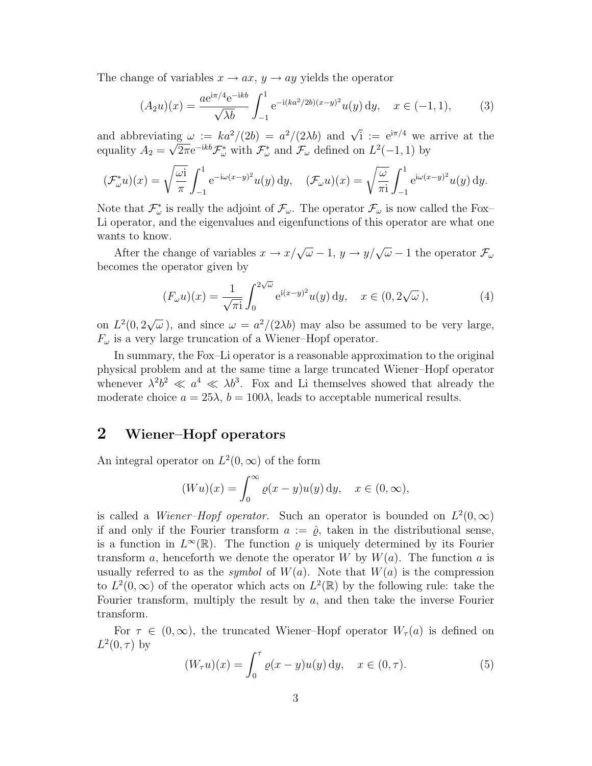The change of variables  $x \to ax$ ,  $y \to ay$  yields the operator

$$
(A_2 u)(x) = \frac{a e^{i\pi/4} e^{-ikb}}{\sqrt{\lambda b}} \int_{-1}^1 e^{-i(ka^2/2b)(x-y)^2} u(y) dy, \quad x \in (-1, 1),
$$
 (3)

and abbreviating  $\omega := ka^2/(2b) = a^2/(2\lambda b)$  and  $\sqrt{i} := e^{i\pi/4}$  we arrive at the equality  $A_2 = \sqrt{2\pi}e^{-ikb}\mathcal{F}^*_{\omega}$  with  $\mathcal{F}^*_{\omega}$  and  $\mathcal{F}_{\omega}$  defined on  $L^2(-1,1)$  by

$$
(\mathcal{F}_{\omega}^* u)(x) = \sqrt{\frac{\omega i}{\pi}} \int_{-1}^1 e^{-i\omega(x-y)^2} u(y) dy, \quad (\mathcal{F}_{\omega} u)(x) = \sqrt{\frac{\omega}{\pi i}} \int_{-1}^1 e^{i\omega(x-y)^2} u(y) dy.
$$

Note that  $\mathcal{F}_{\omega}^*$  is really the adjoint of  $\mathcal{F}_{\omega}$ . The operator  $\mathcal{F}_{\omega}$  is now called the Fox-Li operator, and the eigenvalues and eigenfunctions of this operator are what one wants to know.

After the change of variables  $x \to x/\sqrt{\omega-1}$ ,  $y \to y/\sqrt{\omega-1}$  the operator  $\mathcal{F}_{\omega}$ becomes the operator given by

$$
(F_{\omega}u)(x) = \frac{1}{\sqrt{\pi i}} \int_0^{2\sqrt{\omega}} e^{i(x-y)^2} u(y) dy, \quad x \in (0, 2\sqrt{\omega}), \tag{4}
$$

on  $L^2(0, 2)$ √  $\overline{\omega}$ ), and since  $\omega = a^2/(2\lambda b)$  may also be assumed to be very large,  $F_{\omega}$  is a very large truncation of a Wiener–Hopf operator.

In summary, the Fox–Li operator is a reasonable approximation to the original physical problem and at the same time a large truncated Wiener–Hopf operator whenever  $\lambda^2 b^2 \ll a^4 \ll \lambda b^3$ . Fox and Li themselves showed that already the moderate choice  $a = 25\lambda$ ,  $b = 100\lambda$ , leads to acceptable numerical results.

# 2 Wiener–Hopf operators

An integral operator on  $L^2(0,\infty)$  of the form

$$
(Wu)(x) = \int_0^\infty \varrho(x - y)u(y) \, dy, \quad x \in (0, \infty),
$$

is called a *Wiener–Hopf operator*. Such an operator is bounded on  $L^2(0,\infty)$ if and only if the Fourier transform  $a := \hat{\varrho}$ , taken in the distributional sense, is a function in  $L^{\infty}(\mathbb{R})$ . The function  $\varrho$  is uniquely determined by its Fourier transform a, henceforth we denote the operator W by  $W(a)$ . The function a is usually referred to as the *symbol* of  $W(a)$ . Note that  $W(a)$  is the compression to  $L^2(0,\infty)$  of the operator which acts on  $L^2(\mathbb{R})$  by the following rule: take the Fourier transform, multiply the result by  $a$ , and then take the inverse Fourier transform.

For  $\tau \in (0,\infty)$ , the truncated Wiener–Hopf operator  $W_\tau(a)$  is defined on  $L^2(0,\tau)$  by

$$
(W_{\tau}u)(x) = \int_0^{\tau} \varrho(x - y)u(y) \, dy, \quad x \in (0, \tau).
$$
 (5)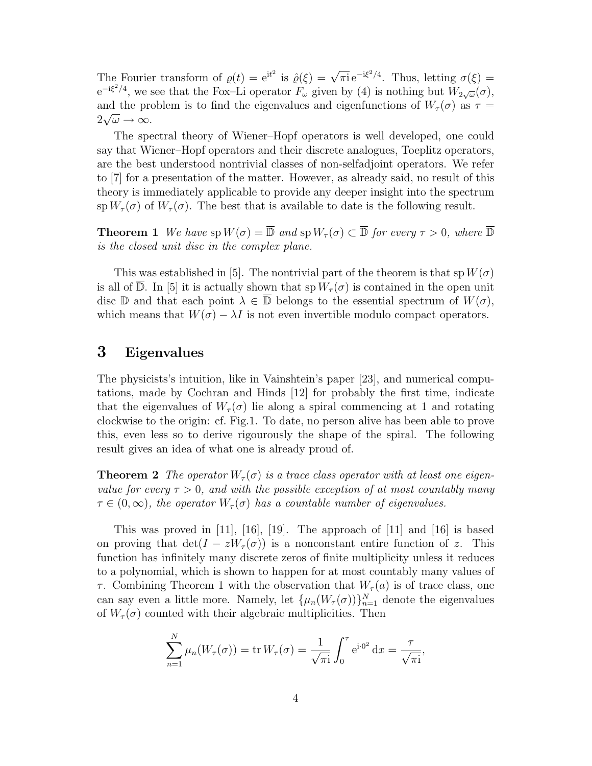The Fourier transform of  $\varrho(t) = e^{it^2}$  is  $\hat{\varrho}(\xi) = \sqrt{\pi i} e^{-i\xi^2/4}$ . Thus, letting  $\sigma(\xi) =$  $e^{-i\xi^2/4}$ , we see that the Fox-Li operator  $F_\omega$  given by (4) is nothing but  $W_{2\sqrt{\omega}}(\sigma)$ , and the problem is to find the eigenvalues and eigenfunctions of  $W_{\tau}(\sigma)$  as  $\tau =$  $2\sqrt{\omega} \rightarrow \infty$ .

The spectral theory of Wiener–Hopf operators is well developed, one could say that Wiener–Hopf operators and their discrete analogues, Toeplitz operators, are the best understood nontrivial classes of non-selfadjoint operators. We refer to [7] for a presentation of the matter. However, as already said, no result of this theory is immediately applicable to provide any deeper insight into the spectrum sp  $W_{\tau}(\sigma)$  of  $W_{\tau}(\sigma)$ . The best that is available to date is the following result.

**Theorem 1** We have  $sp W(\sigma) = \overline{D}$  and  $sp W_\tau(\sigma) \subset \overline{D}$  for every  $\tau > 0$ , where  $\overline{D}$ is the closed unit disc in the complex plane.

This was established in [5]. The nontrivial part of the theorem is that sp  $W(\sigma)$ is all of  $\overline{\mathbb{D}}$ . In [5] it is actually shown that sp  $W_{\tau}(\sigma)$  is contained in the open unit disc D and that each point  $\lambda \in \overline{\mathbb{D}}$  belongs to the essential spectrum of  $W(\sigma)$ , which means that  $W(\sigma) - \lambda I$  is not even invertible modulo compact operators.

# 3 Eigenvalues

The physicists's intuition, like in Vainshtein's paper [23], and numerical computations, made by Cochran and Hinds [12] for probably the first time, indicate that the eigenvalues of  $W_\tau(\sigma)$  lie along a spiral commencing at 1 and rotating clockwise to the origin: cf. Fig.1. To date, no person alive has been able to prove this, even less so to derive rigourously the shape of the spiral. The following result gives an idea of what one is already proud of.

**Theorem 2** The operator  $W_{\tau}(\sigma)$  is a trace class operator with at least one eigenvalue for every  $\tau > 0$ , and with the possible exception of at most countably many  $\tau \in (0,\infty)$ , the operator  $W_{\tau}(\sigma)$  has a countable number of eigenvalues.

This was proved in [11], [16], [19]. The approach of [11] and [16] is based on proving that  $\det(I - zW_\tau(\sigma))$  is a nonconstant entire function of z. This function has infinitely many discrete zeros of finite multiplicity unless it reduces to a polynomial, which is shown to happen for at most countably many values of  $\tau$ . Combining Theorem 1 with the observation that  $W_{\tau}(a)$  is of trace class, one can say even a little more. Namely, let  $\{\mu_n(W_\tau(\sigma))\}_{n=1}^N$  denote the eigenvalues of  $W_{\tau}(\sigma)$  counted with their algebraic multiplicities. Then

$$
\sum_{n=1}^{N} \mu_n(W_\tau(\sigma)) = \text{tr}\, W_\tau(\sigma) = \frac{1}{\sqrt{\pi i}} \int_0^\tau e^{i \cdot \sigma^2} \, \mathrm{d}x = \frac{\tau}{\sqrt{\pi i}},
$$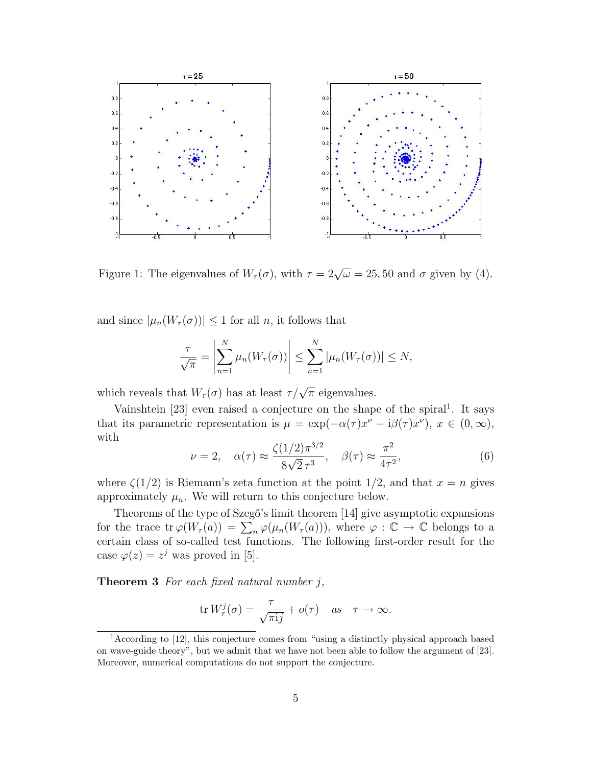

Figure 1: The eigenvalues of  $W_{\tau}(\sigma)$ , with  $\tau = 2\sqrt{\omega} = 25, 50$  and  $\sigma$  given by (4).

and since  $|\mu_n(W_\tau(\sigma))| \leq 1$  for all n, it follows that

$$
\frac{\tau}{\sqrt{\pi}} = \left| \sum_{n=1}^N \mu_n(W_\tau(\sigma)) \right| \leq \sum_{n=1}^N |\mu_n(W_\tau(\sigma))| \leq N,
$$

which reveals that  $W_{\tau}(\sigma)$  has at least  $\tau/\sqrt{\pi}$  eigenvalues.

Vainshtein  $[23]$  even raised a conjecture on the shape of the spiral<sup>1</sup>. It says that its parametric representation is  $\mu = \exp(-\alpha(\tau)x^{\nu} - i\beta(\tau)x^{\nu})$ ,  $x \in (0, \infty)$ , with

$$
\nu = 2, \quad \alpha(\tau) \approx \frac{\zeta(1/2)\pi^{3/2}}{8\sqrt{2}\,\tau^3}, \quad \beta(\tau) \approx \frac{\pi^2}{4\tau^2},\tag{6}
$$

where  $\zeta(1/2)$  is Riemann's zeta function at the point  $1/2$ , and that  $x = n$  gives approximately  $\mu_n$ . We will return to this conjecture below.

Theorems of the type of Szegő's limit theorem [14] give asymptotic expansions for the trace tr  $\varphi(W_\tau(a)) = \sum_n \varphi(\mu_n(W_\tau(a))),$  where  $\varphi : \mathbb{C} \to \mathbb{C}$  belongs to a certain class of so-called test functions. The following first-order result for the case  $\varphi(z) = z^j$  was proved in [5].

**Theorem 3** For each fixed natural number  $j$ ,

$$
\operatorname{tr} W^j_\tau(\sigma) = \frac{\tau}{\sqrt{\pi \mathrm{i} j}} + o(\tau) \quad \text{as} \quad \tau \to \infty.
$$

<sup>1</sup>According to [12], this conjecture comes from "using a distinctly physical approach based on wave-guide theory", but we admit that we have not been able to follow the argument of [23]. Moreover, numerical computations do not support the conjecture.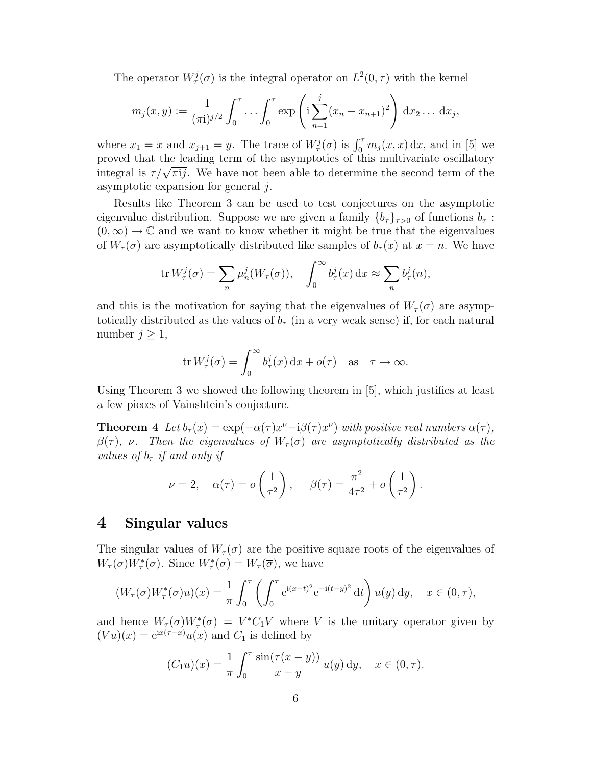The operator  $W_{\tau}^{j}(\sigma)$  is the integral operator on  $L^{2}(0, \tau)$  with the kernel

$$
m_j(x,y) := \frac{1}{(\pi i)^{j/2}} \int_0^{\tau} \dots \int_0^{\tau} \exp\left(i \sum_{n=1}^j (x_n - x_{n+1})^2\right) dx_2 \dots dx_j,
$$

where  $x_1 = x$  and  $x_{j+1} = y$ . The trace of  $W^j_\tau(\sigma)$  is  $\int_0^\tau m_j(x, x) dx$ , and in [5] we proved that the leading term of the asymptotics of this multivariate oscillatory proved that the leading term of the asymptotics of this multivariate oscillatory<br>integral is  $\tau/\sqrt{\pi i j}$ . We have not been able to determine the second term of the asymptotic expansion for general  $i$ .

Results like Theorem 3 can be used to test conjectures on the asymptotic eigenvalue distribution. Suppose we are given a family  ${b<sub>\tau</sub>}$ <sub> $\tau>0$ </sub> of functions  $b<sub>\tau</sub>$ :  $(0, \infty) \to \mathbb{C}$  and we want to know whether it might be true that the eigenvalues of  $W_\tau(\sigma)$  are asymptotically distributed like samples of  $b_\tau(x)$  at  $x = n$ . We have

$$
\operatorname{tr} W^j_\tau(\sigma) = \sum_n \mu^j_n(W_\tau(\sigma)), \quad \int_0^\infty b^j_\tau(x) \, \mathrm{d}x \approx \sum_n b^j_\tau(n),
$$

and this is the motivation for saying that the eigenvalues of  $W_\tau(\sigma)$  are asymptotically distributed as the values of  $b<sub>\tau</sub>$  (in a very weak sense) if, for each natural number  $j \geq 1$ ,

$$
\operatorname{tr} W^j_\tau(\sigma) = \int_0^\infty b^j_\tau(x) \, \mathrm{d}x + o(\tau) \quad \text{as} \quad \tau \to \infty.
$$

Using Theorem 3 we showed the following theorem in [5], which justifies at least a few pieces of Vainshtein's conjecture.

**Theorem 4** Let  $b_{\tau}(x) = \exp(-\alpha(\tau)x^{\nu} - i\beta(\tau)x^{\nu})$  with positive real numbers  $\alpha(\tau)$ ,  $\beta(\tau)$ , v. Then the eigenvalues of  $W_{\tau}(\sigma)$  are asymptotically distributed as the values of  $b<sub>\tau</sub>$  if and only if

$$
\nu = 2, \quad \alpha(\tau) = o\left(\frac{1}{\tau^2}\right), \quad \beta(\tau) = \frac{\pi^2}{4\tau^2} + o\left(\frac{1}{\tau^2}\right).
$$

#### 4 Singular values

The singular values of  $W_\tau(\sigma)$  are the positive square roots of the eigenvalues of  $W_{\tau}(\sigma)W_{\tau}^*(\sigma)$ . Since  $W_{\tau}^*(\sigma) = W_{\tau}(\overline{\sigma})$ , we have

$$
(W_{\tau}(\sigma)W_{\tau}^*(\sigma)u)(x) = \frac{1}{\pi} \int_0^{\tau} \left( \int_0^{\tau} e^{i(x-t)^2} e^{-i(t-y)^2} dt \right) u(y) dy, \quad x \in (0, \tau),
$$

and hence  $W_\tau(\sigma)W^*_\tau(\sigma) = V^*C_1V$  where V is the unitary operator given by  $(Vu)(x) = e^{ix(\tau-x)}u(x)$  and  $C_1$  is defined by

$$
(C_1 u)(x) = \frac{1}{\pi} \int_0^{\pi} \frac{\sin(\tau(x - y))}{x - y} u(y) \, dy, \quad x \in (0, \tau).
$$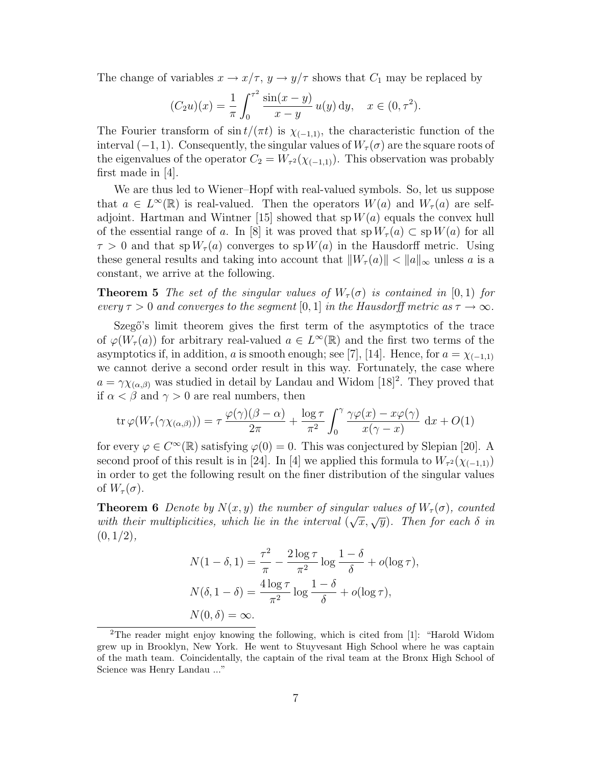The change of variables  $x \to x/\tau$ ,  $y \to y/\tau$  shows that  $C_1$  may be replaced by

$$
(C_2 u)(x) = \frac{1}{\pi} \int_0^{\tau^2} \frac{\sin(x - y)}{x - y} u(y) \, dy, \quad x \in (0, \tau^2).
$$

The Fourier transform of  $\sin t/(\pi t)$  is  $\chi_{(-1,1)}$ , the characteristic function of the interval  $(-1, 1)$ . Consequently, the singular values of  $W_\tau(\sigma)$  are the square roots of the eigenvalues of the operator  $C_2 = W_{\tau^2}(\chi_{(-1,1)})$ . This observation was probably first made in [4].

We are thus led to Wiener–Hopf with real-valued symbols. So, let us suppose that  $a \in L^{\infty}(\mathbb{R})$  is real-valued. Then the operators  $W(a)$  and  $W_{\tau}(a)$  are selfadjoint. Hartman and Wintner [15] showed that  $spW(a)$  equals the convex hull of the essential range of a. In [8] it was proved that  $sp W_\tau(a) \subset sp W(a)$  for all  $\tau > 0$  and that sp  $W_{\tau}(a)$  converges to sp  $W(a)$  in the Hausdorff metric. Using these general results and taking into account that  $||W_\tau(a)|| < ||a||_\infty$  unless a is a constant, we arrive at the following.

**Theorem 5** The set of the singular values of  $W_\tau(\sigma)$  is contained in [0, 1] for every  $\tau > 0$  and converges to the segment [0, 1] in the Hausdorff metric as  $\tau \to \infty$ .

Szegő's limit theorem gives the first term of the asymptotics of the trace of  $\varphi(W_\tau(a))$  for arbitrary real-valued  $a \in L^\infty(\mathbb{R})$  and the first two terms of the asymptotics if, in addition, a is smooth enough; see [7], [14]. Hence, for  $a = \chi_{(-1,1)}$ we cannot derive a second order result in this way. Fortunately, the case where  $a = \gamma \chi_{(\alpha,\beta)}$  was studied in detail by Landau and Widom [18]<sup>2</sup>. They proved that if  $\alpha < \beta$  and  $\gamma > 0$  are real numbers, then

$$
\operatorname{tr}\varphi(W_{\tau}(\gamma\chi_{(\alpha,\beta)}))=\tau\,\frac{\varphi(\gamma)(\beta-\alpha)}{2\pi}+\frac{\log\tau}{\pi^2}\int_0^{\gamma}\frac{\gamma\varphi(x)-x\varphi(\gamma)}{x(\gamma-x)}\,\operatorname{d}x+O(1)
$$

for every  $\varphi \in C^{\infty}(\mathbb{R})$  satisfying  $\varphi(0) = 0$ . This was conjectured by Slepian [20]. A second proof of this result is in [24]. In [4] we applied this formula to  $W_{\tau^2}(\chi_{(-1,1)})$ in order to get the following result on the finer distribution of the singular values of  $W_\tau(\sigma)$ .

**Theorem 6** Denote by  $N(x, y)$  the number of singular values of  $W_\tau(\sigma)$ , counted<br> $\overline{W}_\tau(\sigma)$ **THEOREM O** Behove by  $N(x, y)$  the hallmoer by singular balacs by  $W_{\tau}(0)$ , counted<br>with their multiplicities, which lie in the interval  $(\sqrt{x}, \sqrt{y})$ . Then for each  $\delta$  in  $(0, 1/2),$ 

$$
N(1 - \delta, 1) = \frac{\tau^2}{\pi} - \frac{2\log \tau}{\pi^2} \log \frac{1 - \delta}{\delta} + o(\log \tau),
$$
  

$$
N(\delta, 1 - \delta) = \frac{4\log \tau}{\pi^2} \log \frac{1 - \delta}{\delta} + o(\log \tau),
$$
  

$$
N(0, \delta) = \infty.
$$

<sup>2</sup>The reader might enjoy knowing the following, which is cited from [1]: "Harold Widom grew up in Brooklyn, New York. He went to Stuyvesant High School where he was captain of the math team. Coincidentally, the captain of the rival team at the Bronx High School of Science was Henry Landau ..."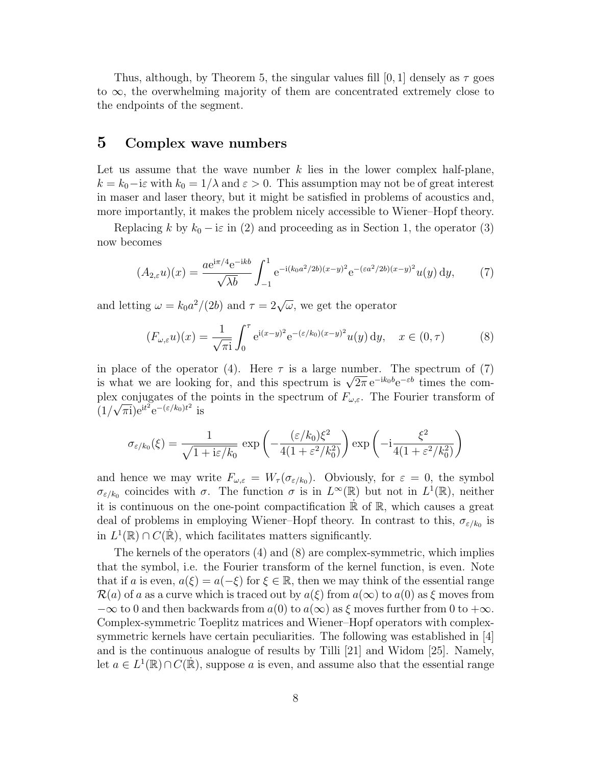Thus, although, by Theorem 5, the singular values fill [0, 1] densely as  $\tau$  goes to ∞, the overwhelming majority of them are concentrated extremely close to the endpoints of the segment.

## 5 Complex wave numbers

Let us assume that the wave number  $k$  lies in the lower complex half-plane,  $k = k_0 - i\varepsilon$  with  $k_0 = 1/\lambda$  and  $\varepsilon > 0$ . This assumption may not be of great interest in maser and laser theory, but it might be satisfied in problems of acoustics and, more importantly, it makes the problem nicely accessible to Wiener–Hopf theory.

Replacing k by  $k_0 - i\varepsilon$  in (2) and proceeding as in Section 1, the operator (3) now becomes

$$
(A_{2,\varepsilon}u)(x) = \frac{a e^{i\pi/4} e^{-ikb}}{\sqrt{\lambda b}} \int_{-1}^{1} e^{-i(k_0 a^2/2b)(x-y)^2} e^{-(\varepsilon a^2/2b)(x-y)^2} u(y) dy, \tag{7}
$$

and letting  $\omega = k_0 a^2/(2b)$  and  $\tau = 2\sqrt{\omega}$ , we get the operator

$$
(F_{\omega,\varepsilon}u)(x) = \frac{1}{\sqrt{\pi i}} \int_0^\tau e^{i(x-y)^2} e^{-(\varepsilon/k_0)(x-y)^2} u(y) dy, \quad x \in (0,\tau)
$$
 (8)

in place of the operator (4). Here  $\tau$  is a large number. The spectrum of (7) is what we are looking for, and this spectrum is  $\sqrt{2\pi} e^{-ik_0 b} e^{-\varepsilon b}$  times the complex conjugates of the points in the spectrum of  $F_{\omega,\varepsilon}$ . The Fourier transform of  $(1/\sqrt{\pi i})e^{it^2}e^{-(\epsilon/k_0)t^2}$  is

$$
\sigma_{\varepsilon/k_0}(\xi) = \frac{1}{\sqrt{1 + i\varepsilon/k_0}} \exp\left(-\frac{(\varepsilon/k_0)\xi^2}{4(1 + \varepsilon^2/k_0^2)}\right) \exp\left(-i\frac{\xi^2}{4(1 + \varepsilon^2/k_0^2)}\right)
$$

and hence we may write  $F_{\omega,\varepsilon} = W_{\tau}(\sigma_{\varepsilon/k_0})$ . Obviously, for  $\varepsilon = 0$ , the symbol  $\sigma_{\varepsilon/k_0}$  coincides with  $\sigma$ . The function  $\sigma$  is in  $L^{\infty}(\mathbb{R})$  but not in  $L^1(\mathbb{R})$ , neither it is continuous on the one-point compactification  $\mathbb R$  of  $\mathbb R$ , which causes a great deal of problems in employing Wiener-Hopf theory. In contrast to this,  $\sigma_{\varepsilon/k_0}$  is in  $L^1(\mathbb{R}) \cap C(\dot{\mathbb{R}})$ , which facilitates matters significantly.

The kernels of the operators (4) and (8) are complex-symmetric, which implies that the symbol, i.e. the Fourier transform of the kernel function, is even. Note that if a is even,  $a(\xi) = a(-\xi)$  for  $\xi \in \mathbb{R}$ , then we may think of the essential range  $\mathcal{R}(a)$  of a as a curve which is traced out by  $a(\xi)$  from  $a(\infty)$  to  $a(0)$  as  $\xi$  moves from  $-\infty$  to 0 and then backwards from  $a(0)$  to  $a(\infty)$  as  $\xi$  moves further from 0 to  $+\infty$ . Complex-symmetric Toeplitz matrices and Wiener–Hopf operators with complexsymmetric kernels have certain peculiarities. The following was established in [4] and is the continuous analogue of results by Tilli [21] and Widom [25]. Namely, let  $a \in L^1(\mathbb{R}) \cap C(\mathbb{R})$ , suppose a is even, and assume also that the essential range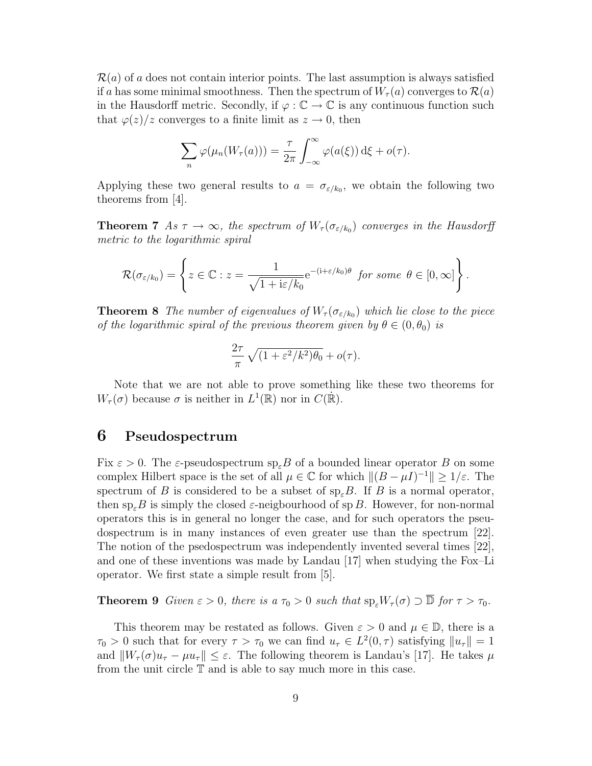$\mathcal{R}(a)$  of a does not contain interior points. The last assumption is always satisfied if a has some minimal smoothness. Then the spectrum of  $W_\tau(a)$  converges to  $\mathcal{R}(a)$ in the Hausdorff metric. Secondly, if  $\varphi : \mathbb{C} \to \mathbb{C}$  is any continuous function such that  $\varphi(z)/z$  converges to a finite limit as  $z \to 0$ , then

$$
\sum_{n} \varphi(\mu_n(W_\tau(a))) = \frac{\tau}{2\pi} \int_{-\infty}^{\infty} \varphi(a(\xi)) d\xi + o(\tau).
$$

Applying these two general results to  $a = \sigma_{\epsilon/k_0}$ , we obtain the following two theorems from [4].

**Theorem 7** As  $\tau \to \infty$ , the spectrum of  $W_{\tau}(\sigma_{\varepsilon/k_0})$  converges in the Hausdorff metric to the logarithmic spiral

$$
\mathcal{R}(\sigma_{\varepsilon/k_0}) = \left\{ z \in \mathbb{C} : z = \frac{1}{\sqrt{1 + i\varepsilon/k_0}} e^{-(i+\varepsilon/k_0)\theta} \text{ for some } \theta \in [0,\infty] \right\}.
$$

**Theorem 8** The number of eigenvalues of  $W_{\tau}(\sigma_{\varepsilon/k_0})$  which lie close to the piece of the logarithmic spiral of the previous theorem given by  $\theta \in (0, \theta_0)$  is

$$
\frac{2\tau}{\pi}\sqrt{(1+\varepsilon^2/k^2)\theta_0} + o(\tau).
$$

Note that we are not able to prove something like these two theorems for  $W_{\tau}(\sigma)$  because  $\sigma$  is neither in  $L^1(\mathbb{R})$  nor in  $C(\dot{\mathbb{R}})$ .

## 6 Pseudospectrum

Fix  $\varepsilon > 0$ . The  $\varepsilon$ -pseudospectrum sp<sub> $\varepsilon$ </sub>B of a bounded linear operator B on some complex Hilbert space is the set of all  $\mu \in \mathbb{C}$  for which  $\|(B - \mu I)^{-1}\| \geq 1/\varepsilon$ . The spectrum of B is considered to be a subset of  $sp_{\varepsilon}B$ . If B is a normal operator, then  $\text{sp}_{\varepsilon}B$  is simply the closed  $\varepsilon$ -neigbourhood of sp B. However, for non-normal operators this is in general no longer the case, and for such operators the pseudospectrum is in many instances of even greater use than the spectrum [22]. The notion of the psedospectrum was independently invented several times [22], and one of these inventions was made by Landau [17] when studying the Fox–Li operator. We first state a simple result from [5].

**Theorem 9** Given  $\varepsilon > 0$ , there is a  $\tau_0 > 0$  such that  $\text{sp}_\varepsilon W_\tau(\sigma) \supset \overline{\mathbb{D}}$  for  $\tau > \tau_0$ .

This theorem may be restated as follows. Given  $\varepsilon > 0$  and  $\mu \in \mathbb{D}$ , there is a  $\tau_0 > 0$  such that for every  $\tau > \tau_0$  we can find  $u_\tau \in L^2(0, \tau)$  satisfying  $||u_\tau|| = 1$ and  $||W_{\tau}(\sigma)u_{\tau} - \mu u_{\tau}|| \leq \varepsilon$ . The following theorem is Landau's [17]. He takes  $\mu$ from the unit circle  $T$  and is able to say much more in this case.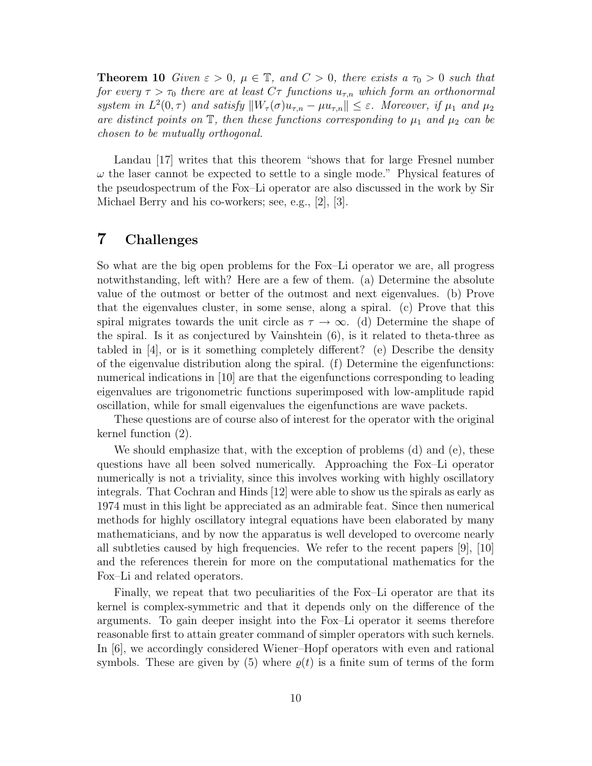**Theorem 10** Given  $\varepsilon > 0$ ,  $\mu \in \mathbb{T}$ , and  $C > 0$ , there exists a  $\tau_0 > 0$  such that for every  $\tau > \tau_0$  there are at least  $C\tau$  functions  $u_{\tau,n}$  which form an orthonormal system in  $L^2(0, \tau)$  and satisfy  $||W_\tau(\sigma)u_{\tau,n} - \mu u_{\tau,n}|| \leq \varepsilon$ . Moreover, if  $\mu_1$  and  $\mu_2$ are distinct points on  $\mathbb{T}$ , then these functions corresponding to  $\mu_1$  and  $\mu_2$  can be chosen to be mutually orthogonal.

Landau [17] writes that this theorem "shows that for large Fresnel number  $\omega$  the laser cannot be expected to settle to a single mode." Physical features of the pseudospectrum of the Fox–Li operator are also discussed in the work by Sir Michael Berry and his co-workers; see, e.g., [2], [3].

## 7 Challenges

So what are the big open problems for the Fox–Li operator we are, all progress notwithstanding, left with? Here are a few of them. (a) Determine the absolute value of the outmost or better of the outmost and next eigenvalues. (b) Prove that the eigenvalues cluster, in some sense, along a spiral. (c) Prove that this spiral migrates towards the unit circle as  $\tau \to \infty$ . (d) Determine the shape of the spiral. Is it as conjectured by Vainshtein (6), is it related to theta-three as tabled in [4], or is it something completely different? (e) Describe the density of the eigenvalue distribution along the spiral. (f) Determine the eigenfunctions: numerical indications in [10] are that the eigenfunctions corresponding to leading eigenvalues are trigonometric functions superimposed with low-amplitude rapid oscillation, while for small eigenvalues the eigenfunctions are wave packets.

These questions are of course also of interest for the operator with the original kernel function (2).

We should emphasize that, with the exception of problems (d) and (e), these questions have all been solved numerically. Approaching the Fox–Li operator numerically is not a triviality, since this involves working with highly oscillatory integrals. That Cochran and Hinds [12] were able to show us the spirals as early as 1974 must in this light be appreciated as an admirable feat. Since then numerical methods for highly oscillatory integral equations have been elaborated by many mathematicians, and by now the apparatus is well developed to overcome nearly all subtleties caused by high frequencies. We refer to the recent papers [9], [10] and the references therein for more on the computational mathematics for the Fox–Li and related operators.

Finally, we repeat that two peculiarities of the Fox–Li operator are that its kernel is complex-symmetric and that it depends only on the difference of the arguments. To gain deeper insight into the Fox–Li operator it seems therefore reasonable first to attain greater command of simpler operators with such kernels. In [6], we accordingly considered Wiener–Hopf operators with even and rational symbols. These are given by (5) where  $\rho(t)$  is a finite sum of terms of the form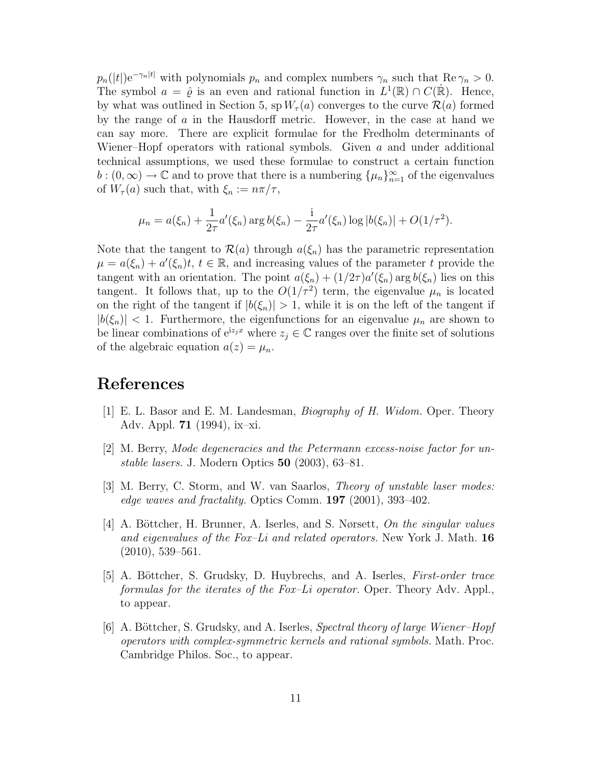$p_n(|t|)e^{-\gamma_n|t|}$  with polynomials  $p_n$  and complex numbers  $\gamma_n$  such that  $\text{Re }\gamma_n > 0$ . The symbol  $a = \hat{\varrho}$  is an even and rational function in  $L^1(\mathbb{R}) \cap C(\mathbb{R})$ . Hence, by what was outlined in Section 5,  $sp W_\tau(a)$  converges to the curve  $\mathcal{R}(a)$  formed by the range of a in the Hausdorff metric. However, in the case at hand we can say more. There are explicit formulae for the Fredholm determinants of Wiener–Hopf operators with rational symbols. Given  $a$  and under additional technical assumptions, we used these formulae to construct a certain function  $b:(0,\infty)\to\mathbb{C}$  and to prove that there is a numbering  $\{\mu_n\}_{n=1}^{\infty}$  of the eigenvalues of  $W_\tau(a)$  such that, with  $\xi_n := n\pi/\tau$ ,

$$
\mu_n = a(\xi_n) + \frac{1}{2\tau} a'(\xi_n) \arg b(\xi_n) - \frac{i}{2\tau} a'(\xi_n) \log |b(\xi_n)| + O(1/\tau^2).
$$

Note that the tangent to  $\mathcal{R}(a)$  through  $a(\xi_n)$  has the parametric representation  $\mu = a(\xi_n) + a'(\xi_n)t, t \in \mathbb{R}$ , and increasing values of the parameter t provide the tangent with an orientation. The point  $a(\xi_n) + (1/2\tau)a'(\xi_n)$  arg  $b(\xi_n)$  lies on this tangent. It follows that, up to the  $O(1/\tau^2)$  term, the eigenvalue  $\mu_n$  is located on the right of the tangent if  $|b(\xi_n)| > 1$ , while it is on the left of the tangent if  $|b(\xi_n)| < 1$ . Furthermore, the eigenfunctions for an eigenvalue  $\mu_n$  are shown to be linear combinations of  $e^{iz_jx}$  where  $z_j \in \mathbb{C}$  ranges over the finite set of solutions of the algebraic equation  $a(z) = \mu_n$ .

# References

- [1] E. L. Basor and E. M. Landesman, Biography of H. Widom. Oper. Theory Adv. Appl. 71 (1994), ix–xi.
- [2] M. Berry, Mode degeneracies and the Petermann excess-noise factor for unstable lasers. J. Modern Optics 50 (2003), 63–81.
- [3] M. Berry, C. Storm, and W. van Saarlos, Theory of unstable laser modes: edge waves and fractality. Optics Comm. 197 (2001), 393–402.
- [4] A. Böttcher, H. Brunner, A. Iserles, and S. Nørsett, On the singular values and eigenvalues of the Fox–Li and related operators. New York J. Math.  $16$  $(2010), 539-561.$
- [5] A. Böttcher, S. Grudsky, D. Huybrechs, and A. Iserles, *First-order trace* formulas for the iterates of the Fox–Li operator. Oper. Theory Adv. Appl., to appear.
- [6] A. Böttcher, S. Grudsky, and A. Iserles, Spectral theory of large Wiener–Hopf operators with complex-symmetric kernels and rational symbols. Math. Proc. Cambridge Philos. Soc., to appear.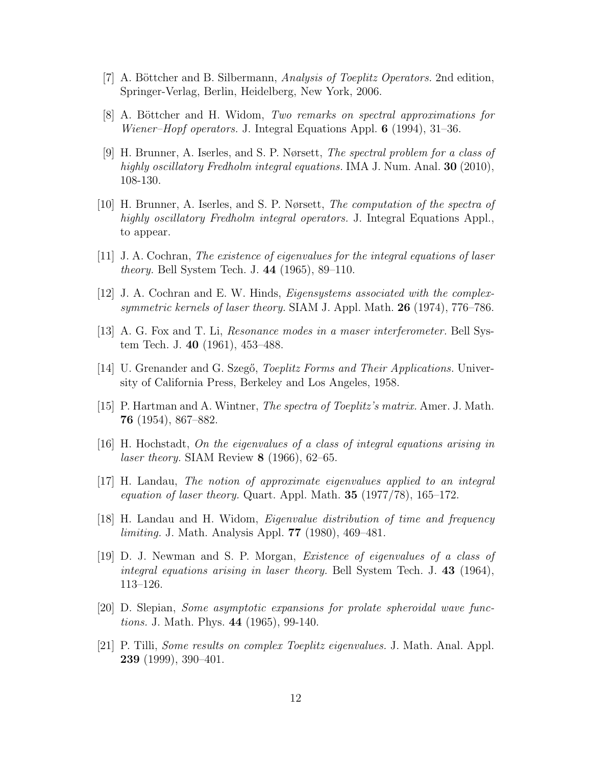- [7] A. Böttcher and B. Silbermann, Analysis of Toeplitz Operators. 2nd edition, Springer-Verlag, Berlin, Heidelberg, New York, 2006.
- [8] A. Böttcher and H. Widom, Two remarks on spectral approximations for Wiener–Hopf operators. J. Integral Equations Appl. 6 (1994), 31–36.
- [9] H. Brunner, A. Iserles, and S. P. Nørsett, The spectral problem for a class of highly oscillatory Fredholm integral equations. IMA J. Num. Anal. 30 (2010), 108-130.
- [10] H. Brunner, A. Iserles, and S. P. Nørsett, The computation of the spectra of highly oscillatory Fredholm integral operators. J. Integral Equations Appl., to appear.
- [11] J. A. Cochran, The existence of eigenvalues for the integral equations of laser theory. Bell System Tech. J. 44 (1965), 89–110.
- [12] J. A. Cochran and E. W. Hinds, Eigensystems associated with the complexsymmetric kernels of laser theory. SIAM J. Appl. Math.  $26$  (1974), 776–786.
- [13] A. G. Fox and T. Li, Resonance modes in a maser interferometer. Bell System Tech. J. 40 (1961), 453–488.
- [14] U. Grenander and G. Szegő, *Toeplitz Forms and Their Applications*. University of California Press, Berkeley and Los Angeles, 1958.
- [15] P. Hartman and A. Wintner, The spectra of Toeplitz's matrix. Amer. J. Math. 76 (1954), 867–882.
- [16] H. Hochstadt, On the eigenvalues of a class of integral equations arising in *laser theory.* SIAM Review  $8$  (1966), 62–65.
- [17] H. Landau, The notion of approximate eigenvalues applied to an integral equation of laser theory. Quart. Appl. Math.  $35$  (1977/78), 165–172.
- [18] H. Landau and H. Widom, Eigenvalue distribution of time and frequency limiting. J. Math. Analysis Appl. 77 (1980), 469–481.
- [19] D. J. Newman and S. P. Morgan, Existence of eigenvalues of a class of integral equations arising in laser theory. Bell System Tech. J. 43 (1964), 113–126.
- [20] D. Slepian, Some asymptotic expansions for prolate spheroidal wave functions. J. Math. Phys. 44 (1965), 99-140.
- [21] P. Tilli, Some results on complex Toeplitz eigenvalues. J. Math. Anal. Appl. 239 (1999), 390–401.